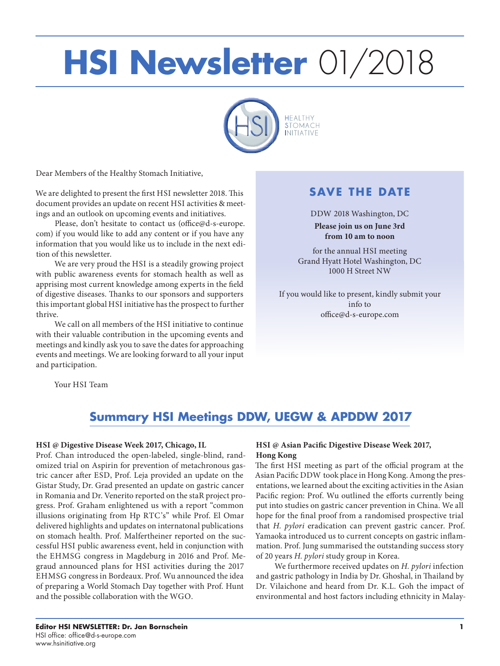# **HSI Newsletter** 01/2018



Dear Members of the Healthy Stomach Initiative,

We are delighted to present the first HSI newsletter 2018. This document provides an update on recent HSI activities & meetings and an outlook on upcoming events and initiatives.

Please, don't hesitate to contact us (office@d-s-europe. com) if you would like to add any content or if you have any information that you would like us to include in the next edition of this newsletter.

We are very proud the HSI is a steadily growing project with public awareness events for stomach health as well as apprising most current knowledge among experts in the field of digestive diseases. Thanks to our sponsors and supporters this important global HSI initiative has the prospect to further thrive.

We call on all members of the HSI initiative to continue with their valuable contribution in the upcoming events and meetings and kindly ask you to save the dates for approaching events and meetings. We are looking forward to all your input and participation.

### **SAVE THE DATE**

DDW 2018 Washington, DC **Please join us on June 3rd from 10 am to noon**

for the annual HSI meeting Grand Hyatt Hotel Washington, DC 1000 H Street NW

If you would like to present, kindly submit your info to office@d-s-europe.com

Your HSI Team

## **Summary HSI Meetings DDW, UEGW & APDDW 2017**

#### **HSI @ Digestive Disease Week 2017, Chicago, IL**

Prof. Chan introduced the open-labeled, single-blind, randomized trial on Aspirin for prevention of metachronous gastric cancer after ESD, Prof. Leja provided an update on the Gistar Study, Dr. Grad presented an update on gastric cancer in Romania and Dr. Venerito reported on the staR project progress. Prof. Graham enlightened us with a report "common illusions originating from Hp RTC's" while Prof. El Omar delivered highlights and updates on internatonal publications on stomach health. Prof. Malfertheiner reported on the successful HSI public awareness event, held in conjunction with the EHMSG congress in Magdeburg in 2016 and Prof. Megraud announced plans for HSI activities during the 2017 EHMSG congress in Bordeaux. Prof. Wu announced the idea of preparing a World Stomach Day together with Prof. Hunt and the possible collaboration with the WGO.

#### **HSI @ Asian Pacific Digestive Disease Week 2017, Hong Kong**

The first HSI meeting as part of the official program at the Asian Pacific DDW took place in Hong Kong. Among the presentations, we learned about the exciting activities in the Asian Pacific region: Prof. Wu outlined the efforts currently being put into studies on gastric cancer prevention in China. We all hope for the final proof from a randomised prospective trial that *H. pylori* eradication can prevent gastric cancer. Prof. Yamaoka introduced us to current concepts on gastric inflammation. Prof. Jung summarised the outstanding success story of 20 years *H. pylori* study group in Korea.

We furthermore received updates on *H. pylori* infection and gastric pathology in India by Dr. Ghoshal, in Thailand by Dr. Vilaichone and heard from Dr. K.L. Goh the impact of environmental and host factors including ethnicity in Malay-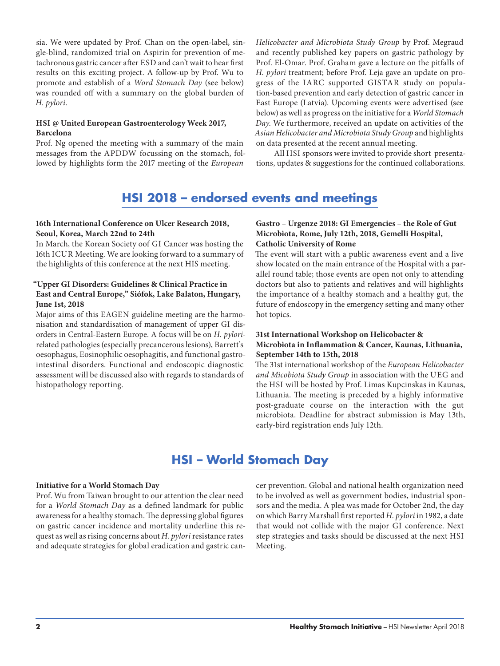sia. We were updated by Prof. Chan on the open-label, single-blind, randomized trial on Aspirin for prevention of metachronous gastric cancer after ESD and can't wait to hear first results on this exciting project. A follow-up by Prof. Wu to promote and establish of a *Word Stomach Day* (see below) was rounded off with a summary on the global burden of *H. pylori*.

#### **HSI @ United European Gastroenterology Week 2017, Barcelona**

Prof. Ng opened the meeting with a summary of the main messages from the APDDW focussing on the stomach, followed by highlights form the 2017 meeting of the *European* 

*Helicobacter and Microbiota Study Group* by Prof. Megraud and recently published key papers on gastric pathology by Prof. El-Omar. Prof. Graham gave a lecture on the pitfalls of *H. pylori* treatment; before Prof. Leja gave an update on progress of the IARC supported GISTAR study on population-based prevention and early detection of gastric cancer in East Europe (Latvia). Upcoming events were advertised (see below) as well as progress on the initiative for a *World Stomach Day*. We furthermore, received an update on activities of the *Asian Helicobacter and Microbiota Study Group* and highlights on data presented at the recent annual meeting.

All HSI sponsors were invited to provide short presentations, updates & suggestions for the continued collaborations.

## **HSI 2018 – endorsed events and meetings**

#### **16th International Conference on Ulcer Research 2018, Seoul, Korea, March 22nd to 24th**

In March, the Korean Society oof GI Cancer was hosting the 16th ICUR Meeting. We are looking forward to a summary of the highlights of this conference at the next HIS meeting.

#### **"Upper GI Disorders: Guidelines & Clinical Practice in East and Central Europe," Siófok, Lake Balaton, Hungary, June 1st, 2018**

Major aims of this EAGEN guideline meeting are the harmonisation and standardisation of management of upper GI disorders in Central-Eastern Europe. A focus will be on *H. pylori*related pathologies (especially precancerous lesions), Barrett's oesophagus, Eosinophilic oesophagitis, and functional gastrointestinal disorders. Functional and endoscopic diagnostic assessment will be discussed also with regards to standards of histopathology reporting.

#### **Gastro – Urgenze 2018: GI Emergencies – the Role of Gut Microbiota, Rome, July 12th, 2018, Gemelli Hospital, Catholic University of Rome**

The event will start with a public awareness event and a live show located on the main entrance of the Hospital with a parallel round table; those events are open not only to attending doctors but also to patients and relatives and will highlights the importance of a healthy stomach and a healthy gut, the future of endoscopy in the emergency setting and many other hot topics.

#### **31st International Workshop on Helicobacter & Microbiota in Inflammation & Cancer, Kaunas, Lithuania, September 14th to 15th, 2018**

The 31st international workshop of the *European Helicobacter and Micobiota Study Group* in association with the UEG and the HSI will be hosted by Prof. Limas Kupcinskas in Kaunas, Lithuania. The meeting is preceded by a highly informative post-graduate course on the interaction with the gut microbiota. Deadline for abstract submission is May 13th, early-bird registration ends July 12th.

# **HSI – World Stomach Day**

#### **Initiative for a World Stomach Day**

Prof. Wu from Taiwan brought to our attention the clear need for a *World Stomach Day* as a defined landmark for public awareness for a healthy stomach. The depressing global figures on gastric cancer incidence and mortality underline this request as well as rising concerns about *H. pylori* resistance rates and adequate strategies for global eradication and gastric cancer prevention. Global and national health organization need to be involved as well as government bodies, industrial sponsors and the media. A plea was made for October 2nd, the day on which Barry Marshall first reported *H. pylori* in 1982, a date that would not collide with the major GI conference. Next step strategies and tasks should be discussed at the next HSI Meeting.